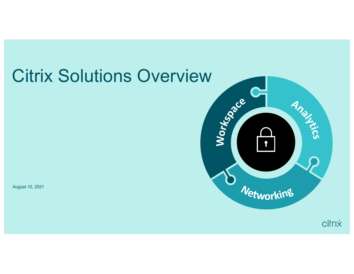# Citrix Solutions OverviewWorksdage **Analyzed**  $\mathbf{f}$ Networking August 10, 2021

citrix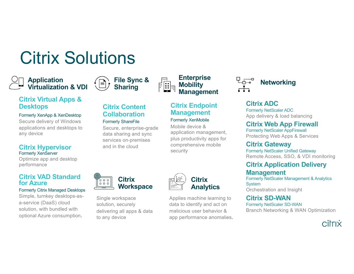# Citrix Solutions

## **Application Application & VDI**  $\overbrace{=}$  File Sync &  $\overbrace{=}$  Enterprise  $\overbrace{=}$   $\overbrace{=}$  Mobility



### **Citrix Virtual Apps & Desktops**

### Formerly XenApp & XenDesktop

Secure delivery of Windows applications and desktops to any device

### **Citrix Hypervisor** Formerly XenServer

Optimize app and desktop performance

### **Citrix VAD Standard for Azure**

### Formerly Citrix Managed Desktops

Simple, turnkey desktops-asa-service (DaaS) cloud solution, with bundled with optional Azure consumption.

### **Citrix Content Collaboration**

### Formerly ShareFile

Secure, enterprise-grade data sharing and sync services on-premises and in the cloud



Single workspace solution, securely delivering all apps & data to any device



security

**Citrix Endpoint Management** Formerly XenMobile Mobile device &

**Management** 

**Enterprise Mobility** 

application management, plus productivity apps for comprehensive mobile

Applies machine learning to data to identify and act on malicious user behavior & app performance anomalies.

### **Citrix ADC**

Formerly NetScaler ADC App delivery & load balancing

### **Citrix Web App Firewall**

Formerly NetScaler AppFirewall Protecting Web Apps & Services

### **Citrix Gateway**

Formerly NetScaler Unified Gateway Remote Access, SSO, & VDI monitoring

### **Citrix Application Delivery Management**

Formerly NetScaler Management & Analytics **System** Orchestration and Insight

### **Citrix SD-WAN**

Formerly NetScaler SD-WAN Branch Networking & WAN Optimization

### citrix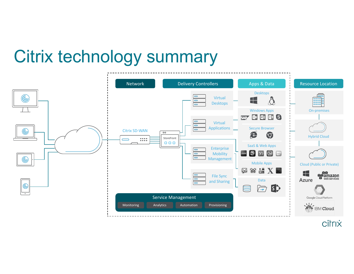# Citrix technology summary



citrix